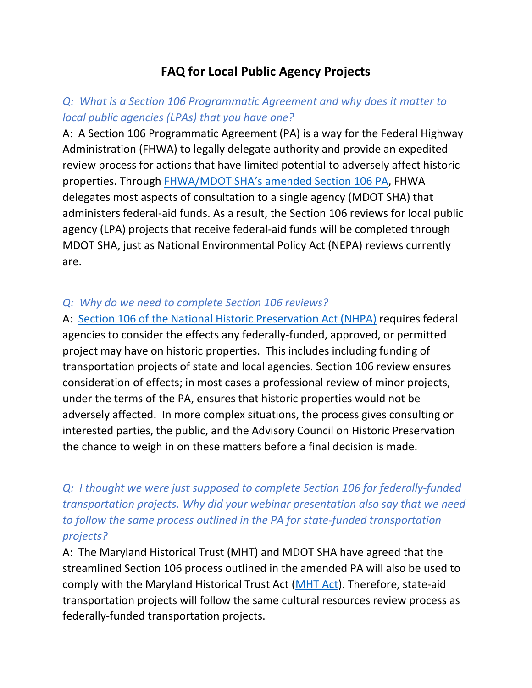# **FAQ for Local Public Agency Projects**

### *Q: What is a Section 106 Programmatic Agreement and why does it matter to local public agencies (LPAs) that you have one?*

A: A Section 106 Programmatic Agreement (PA) is a way for the Federal Highway Administration (FHWA) to legally delegate authority and provide an expedited review process for actions that have limited potential to adversely affect historic properties. Through [FHWA/MDOT SHA's amended Section 106 PA,](https://roads.maryland.gov/OPPEN/2021_PA_Amendment.pdf) FHWA delegates most aspects of consultation to a single agency (MDOT SHA) that administers federal-aid funds. As a result, the Section 106 reviews for local public agency (LPA) projects that receive federal-aid funds will be completed through MDOT SHA, just as National Environmental Policy Act (NEPA) reviews currently are.

### *Q: Why do we need to complete Section 106 reviews?*

A: [Section 106 of the National Historic Preservation Act \(NHPA\)](https://www.achp.gov/protecting-historic-properties/section-106-process/introduction-section-106) requires federal agencies to consider the effects any federally-funded, approved, or permitted project may have on historic properties. This includes including funding of transportation projects of state and local agencies. Section 106 review ensures consideration of effects; in most cases a professional review of minor projects, under the terms of the PA, ensures that historic properties would not be adversely affected. In more complex situations, the process gives consulting or interested parties, the public, and the Advisory Council on Historic Preservation the chance to weigh in on these matters before a final decision is made.

## *Q: I thought we were just supposed to complete Section 106 for federally-funded transportation projects. Why did your webinar presentation also say that we need to follow the same process outlined in the PA for state-funded transportation projects?*

A: The Maryland Historical Trust (MHT) and MDOT SHA have agreed that the streamlined Section 106 process outlined in the amended PA will also be used to comply with the Maryland Historical Trust Act [\(MHT Act\)](https://mht.maryland.gov/documents/PDF/MHTAct5A325-326.pdf). Therefore, state-aid transportation projects will follow the same cultural resources review process as federally-funded transportation projects.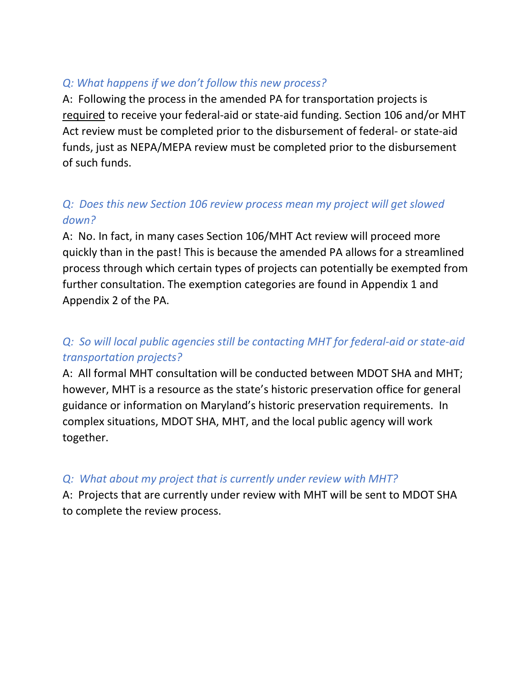### *Q: What happens if we don't follow this new process?*

A: Following the process in the amended PA for transportation projects is required to receive your federal-aid or state-aid funding. Section 106 and/or MHT Act review must be completed prior to the disbursement of federal- or state-aid funds, just as NEPA/MEPA review must be completed prior to the disbursement of such funds.

## *Q: Does this new Section 106 review process mean my project will get slowed down?*

A: No. In fact, in many cases Section 106/MHT Act review will proceed more quickly than in the past! This is because the amended PA allows for a streamlined process through which certain types of projects can potentially be exempted from further consultation. The exemption categories are found in Appendix 1 and Appendix 2 of the PA.

### *Q: So will local public agencies still be contacting MHT for federal-aid or state-aid transportation projects?*

A: All formal MHT consultation will be conducted between MDOT SHA and MHT; however, MHT is a resource as the state's historic preservation office for general guidance or information on Maryland's historic preservation requirements. In complex situations, MDOT SHA, MHT, and the local public agency will work together.

### *Q: What about my project that is currently under review with MHT?*

A: Projects that are currently under review with MHT will be sent to MDOT SHA to complete the review process.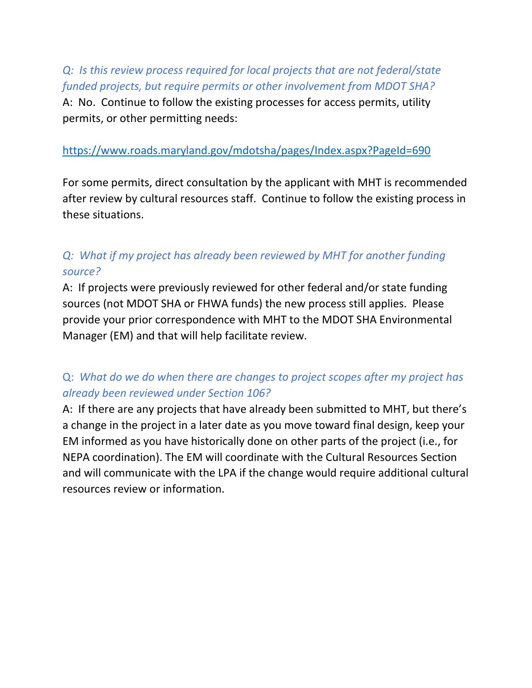## *Q: Is this review process required for local projects that are not federal/state funded projects, but require permits or other involvement from MDOT SHA?*

A: No. Continue to follow the existing processes for access permits, utility permits, or other permitting needs:

#### <https://www.roads.maryland.gov/mdotsha/pages/Index.aspx?PageId=690>

For some permits, direct consultation by the applicant with MHT is recommended after review by cultural resources staff. Continue to follow the existing process in these situations.

## *Q: What if my project has already been reviewed by MHT for another funding source?*

A: If projects were previously reviewed for other federal and/or state funding sources (not MDOT SHA or FHWA funds) the new process still applies. Please provide your prior correspondence with MHT to the MDOT SHA Environmental Manager (EM) and that will help facilitate review.

### Q: *What do we do when there are changes to project scopes after my project has already been reviewed under Section 106?*

A: If there are any projects that have already been submitted to MHT, but there's a change in the project in a later date as you move toward final design, keep your EM informed as you have historically done on other parts of the project (i.e., for NEPA coordination). The EM will coordinate with the Cultural Resources Section and will communicate with the LPA if the change would require additional cultural resources review or information.